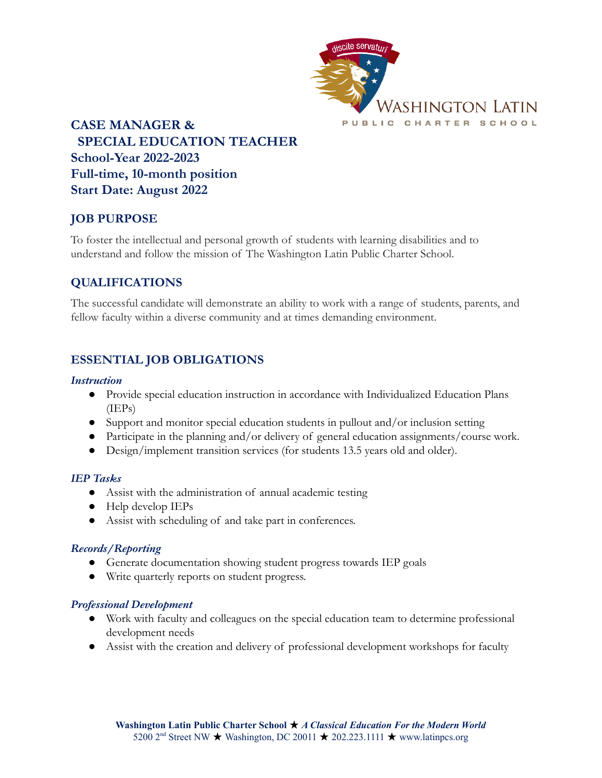

**CASE MANAGER & SPECIAL EDUCATION TEACHER School-Year 2022-2023 Full-time, 10-month position Start Date: August 2022**

# **JOB PURPOSE**

To foster the intellectual and personal growth of students with learning disabilities and to understand and follow the mission of The Washington Latin Public Charter School.

# **QUALIFICATIONS**

The successful candidate will demonstrate an ability to work with a range of students, parents, and fellow faculty within a diverse community and at times demanding environment.

# **ESSENTIAL JOB OBLIGATIONS**

### *Instruction*

- Provide special education instruction in accordance with Individualized Education Plans (IEPs)
- Support and monitor special education students in pullout and/or inclusion setting
- Participate in the planning and/or delivery of general education assignments/course work.
- Design/implement transition services (for students 13.5 years old and older).

### *IEP Tasks*

- Assist with the administration of annual academic testing
- Help develop IEPs
- Assist with scheduling of and take part in conferences.

### *Records/Reporting*

- Generate documentation showing student progress towards IEP goals
- Write quarterly reports on student progress.

### *Professional Development*

- Work with faculty and colleagues on the special education team to determine professional development needs
- Assist with the creation and delivery of professional development workshops for faculty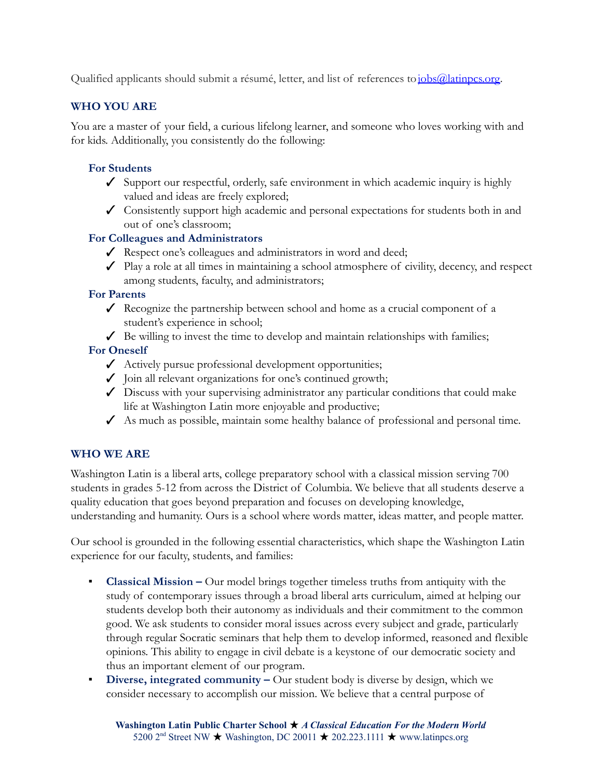Qualified applicants should submit a résumé, letter, and list of references to[jobs@latinpcs.org](mailto:jobs@latinpcs.org).

# **WHO YOU ARE**

You are a master of your field, a curious lifelong learner, and someone who loves working with and for kids. Additionally, you consistently do the following:

# **For Students**

- $\checkmark$  Support our respectful, orderly, safe environment in which academic inquiry is highly valued and ideas are freely explored;
- ✓ Consistently support high academic and personal expectations for students both in and out of one's classroom;

### **For Colleagues and Administrators**

- ✓ Respect one's colleagues and administrators in word and deed;
- $\checkmark$  Play a role at all times in maintaining a school atmosphere of civility, decency, and respect among students, faculty, and administrators;

### **For Parents**

- $\angle$  Recognize the partnership between school and home as a crucial component of a student's experience in school;
- $\angle$  Be willing to invest the time to develop and maintain relationships with families;

# **For Oneself**

- ✓ Actively pursue professional development opportunities;
- ✓ Join all relevant organizations for one's continued growth;
- $\checkmark$  Discuss with your supervising administrator any particular conditions that could make life at Washington Latin more enjoyable and productive;
- $\angle$  As much as possible, maintain some healthy balance of professional and personal time.

# **WHO WE ARE**

Washington Latin is a liberal arts, college preparatory school with a classical mission serving 700 students in grades 5-12 from across the District of Columbia. We believe that all students deserve a quality education that goes beyond preparation and focuses on developing knowledge, understanding and humanity. Ours is a school where words matter, ideas matter, and people matter.

Our school is grounded in the following essential characteristics, which shape the Washington Latin experience for our faculty, students, and families:

- **Classical Mission –** Our model brings together timeless truths from antiquity with the study of contemporary issues through a broad liberal arts curriculum, aimed at helping our students develop both their autonomy as individuals and their commitment to the common good. We ask students to consider moral issues across every subject and grade, particularly through regular Socratic seminars that help them to develop informed, reasoned and flexible opinions. This ability to engage in civil debate is a keystone of our democratic society and thus an important element of our program.
- **Diverse, integrated community –** Our student body is diverse by design, which we consider necessary to accomplish our mission. We believe that a central purpose of